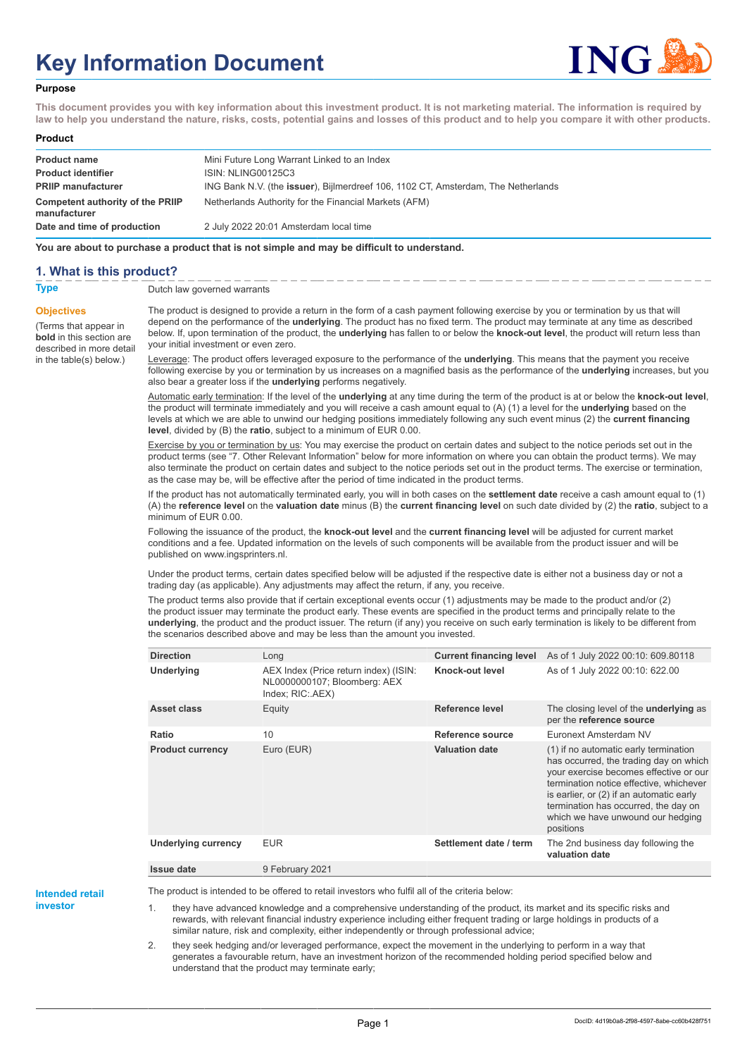# **Key Information Document**



#### **Purpose**

**This document provides you with key information about this investment product. It is not marketing material. The information is required by law to help you understand the nature, risks, costs, potential gains and losses of this product and to help you compare it with other products.**

#### **Product**

| <b>Product name</b><br><b>Product identifier</b> | Mini Future Long Warrant Linked to an Index<br>ISIN: NLING00125C3                 |
|--------------------------------------------------|-----------------------------------------------------------------------------------|
| <b>PRIIP manufacturer</b>                        | ING Bank N.V. (the issuer), Bijlmerdreef 106, 1102 CT, Amsterdam, The Netherlands |
| Competent authority of the PRIIP<br>manufacturer | Netherlands Authority for the Financial Markets (AFM)                             |
| Date and time of production                      | 2 July 2022 20:01 Amsterdam local time                                            |

**You are about to purchase a product that is not simple and may be difficult to understand.**

### **1. What is this product?**

**Objectives**

(Terms that appear in **bold** in this section are

in the table(s) below.)

**Type** Dutch law governed warrants

described in more detail The product is designed to provide a return in the form of a cash payment following exercise by you or termination by us that will depend on the performance of the **underlying**. The product has no fixed term. The product may terminate at any time as described below. If, upon termination of the product, the **underlying** has fallen to or below the **knock-out level**, the product will return less than your initial investment or even zero.

> Leverage: The product offers leveraged exposure to the performance of the **underlying**. This means that the payment you receive following exercise by you or termination by us increases on a magnified basis as the performance of the **underlying** increases, but you also bear a greater loss if the **underlying** performs negatively.

> Automatic early termination: If the level of the **underlying** at any time during the term of the product is at or below the **knock-out level**, the product will terminate immediately and you will receive a cash amount equal to (A) (1) a level for the **underlying** based on the levels at which we are able to unwind our hedging positions immediately following any such event minus (2) the **current financing level**, divided by (B) the **ratio**, subject to a minimum of EUR 0.00.

> Exercise by you or termination by us: You may exercise the product on certain dates and subject to the notice periods set out in the product terms (see "7. Other Relevant Information" below for more information on where you can obtain the product terms). We may also terminate the product on certain dates and subject to the notice periods set out in the product terms. The exercise or termination, as the case may be, will be effective after the period of time indicated in the product terms.

> If the product has not automatically terminated early, you will in both cases on the **settlement date** receive a cash amount equal to (1) (A) the **reference level** on the **valuation date** minus (B) the **current financing level** on such date divided by (2) the **ratio**, subject to a minimum of EUR 0.00.

Following the issuance of the product, the **knock-out level** and the **current financing level** will be adjusted for current market conditions and a fee. Updated information on the levels of such components will be available from the product issuer and will be published on www.ingsprinters.nl.

Under the product terms, certain dates specified below will be adjusted if the respective date is either not a business day or not a trading day (as applicable). Any adjustments may affect the return, if any, you receive.

The product terms also provide that if certain exceptional events occur (1) adjustments may be made to the product and/or (2) the product issuer may terminate the product early. These events are specified in the product terms and principally relate to the **underlying**, the product and the product issuer. The return (if any) you receive on such early termination is likely to be different from the scenarios described above and may be less than the amount you invested.

| <b>Direction</b>        | Long                                                                                      | <b>Current financing level</b> | As of 1 July 2022 00:10: 609.80118                                                                                                                                                                                                                                                                         |
|-------------------------|-------------------------------------------------------------------------------------------|--------------------------------|------------------------------------------------------------------------------------------------------------------------------------------------------------------------------------------------------------------------------------------------------------------------------------------------------------|
| Underlying              | AEX Index (Price return index) (ISIN:<br>NL0000000107; Bloomberg: AEX<br>Index; RIC: AEX) | Knock-out level                | As of 1 July 2022 00:10: 622.00                                                                                                                                                                                                                                                                            |
| Asset class             | Equity                                                                                    | Reference level                | The closing level of the <b>underlying</b> as<br>per the reference source                                                                                                                                                                                                                                  |
| Ratio                   | 10                                                                                        | Reference source               | Euronext Amsterdam NV                                                                                                                                                                                                                                                                                      |
| <b>Product currency</b> | Euro (EUR)                                                                                | <b>Valuation date</b>          | (1) if no automatic early termination<br>has occurred, the trading day on which<br>your exercise becomes effective or our<br>termination notice effective, whichever<br>is earlier, or (2) if an automatic early<br>termination has occurred, the day on<br>which we have unwound our hedging<br>positions |
| Underlying currency     | <b>EUR</b>                                                                                | Settlement date / term         | The 2nd business day following the<br>valuation date                                                                                                                                                                                                                                                       |
| <b>Issue date</b>       | 9 February 2021                                                                           |                                |                                                                                                                                                                                                                                                                                                            |

**Intended retail**

**investor**

The product is intended to be offered to retail investors who fulfil all of the criteria below:

they have advanced knowledge and a comprehensive understanding of the product, its market and its specific risks and rewards, with relevant financial industry experience including either frequent trading or large holdings in products of a similar nature, risk and complexity, either independently or through professional advice;

2. they seek hedging and/or leveraged performance, expect the movement in the underlying to perform in a way that generates a favourable return, have an investment horizon of the recommended holding period specified below and understand that the product may terminate early;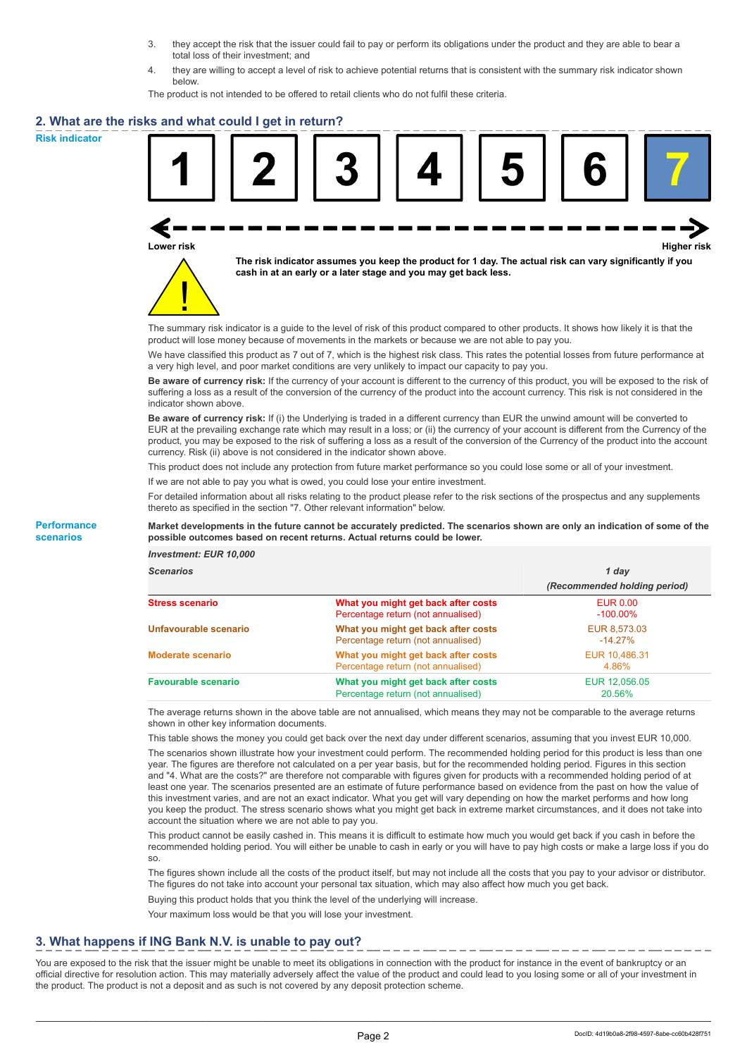- 3. they accept the risk that the issuer could fail to pay or perform its obligations under the product and they are able to bear a total loss of their investment; and
- 4. they are willing to accept a level of risk to achieve potential returns that is consistent with the summary risk indicator shown below.

The product is not intended to be offered to retail clients who do not fulfil these criteria.

### **2. What are the risks and what could I get in return?**

**Risk indicator**

**Performance scenarios**





**The risk indicator assumes you keep the product for 1 day. The actual risk can vary significantly if you cash in at an early or a later stage and you may get back less.**

The summary risk indicator is a guide to the level of risk of this product compared to other products. It shows how likely it is that the product will lose money because of movements in the markets or because we are not able to pay you.

We have classified this product as 7 out of 7, which is the highest risk class. This rates the potential losses from future performance at a very high level, and poor market conditions are very unlikely to impact our capacity to pay you.

**Be aware of currency risk:** If the currency of your account is different to the currency of this product, you will be exposed to the risk of suffering a loss as a result of the conversion of the currency of the product into the account currency. This risk is not considered in the indicator shown above.

**Be aware of currency risk:** If (i) the Underlying is traded in a different currency than EUR the unwind amount will be converted to EUR at the prevailing exchange rate which may result in a loss; or (ii) the currency of your account is different from the Currency of the product, you may be exposed to the risk of suffering a loss as a result of the conversion of the Currency of the product into the account currency. Risk (ii) above is not considered in the indicator shown above.

This product does not include any protection from future market performance so you could lose some or all of your investment.

If we are not able to pay you what is owed, you could lose your entire investment.

For detailed information about all risks relating to the product please refer to the risk sections of the prospectus and any supplements thereto as specified in the section "7. Other relevant information" below.

#### **Market developments in the future cannot be accurately predicted. The scenarios shown are only an indication of some of the possible outcomes based on recent returns. Actual returns could be lower.**

*Investment: EUR 10,000*

| <b>cenarios</b> |  |  |
|-----------------|--|--|
|                 |  |  |

| <b>Scenarios</b>           |                                                                           | 1 day                          |  |
|----------------------------|---------------------------------------------------------------------------|--------------------------------|--|
|                            |                                                                           | (Recommended holding period)   |  |
| Stress scenario            | What you might get back after costs<br>Percentage return (not annualised) | <b>EUR 0.00</b><br>$-100.00\%$ |  |
| Unfavourable scenario      | What you might get back after costs<br>Percentage return (not annualised) | EUR 8,573.03<br>$-14.27\%$     |  |
| <b>Moderate scenario</b>   | What you might get back after costs<br>Percentage return (not annualised) | EUR 10,486.31<br>4.86%         |  |
| <b>Favourable scenario</b> | What you might get back after costs<br>Percentage return (not annualised) | EUR 12,056.05<br>20.56%        |  |

The average returns shown in the above table are not annualised, which means they may not be comparable to the average returns shown in other key information documents.

This table shows the money you could get back over the next day under different scenarios, assuming that you invest EUR 10,000.

The scenarios shown illustrate how your investment could perform. The recommended holding period for this product is less than one year. The figures are therefore not calculated on a per year basis, but for the recommended holding period. Figures in this section and "4. What are the costs?" are therefore not comparable with figures given for products with a recommended holding period of at least one year. The scenarios presented are an estimate of future performance based on evidence from the past on how the value of this investment varies, and are not an exact indicator. What you get will vary depending on how the market performs and how long you keep the product. The stress scenario shows what you might get back in extreme market circumstances, and it does not take into account the situation where we are not able to pay you.

This product cannot be easily cashed in. This means it is difficult to estimate how much you would get back if you cash in before the recommended holding period. You will either be unable to cash in early or you will have to pay high costs or make a large loss if you do so.

The figures shown include all the costs of the product itself, but may not include all the costs that you pay to your advisor or distributor. The figures do not take into account your personal tax situation, which may also affect how much you get back.

Buying this product holds that you think the level of the underlying will increase.

Your maximum loss would be that you will lose your investment.

## **3. What happens if ING Bank N.V. is unable to pay out?**

You are exposed to the risk that the issuer might be unable to meet its obligations in connection with the product for instance in the event of bankruptcy or an official directive for resolution action. This may materially adversely affect the value of the product and could lead to you losing some or all of your investment in the product. The product is not a deposit and as such is not covered by any deposit protection scheme.